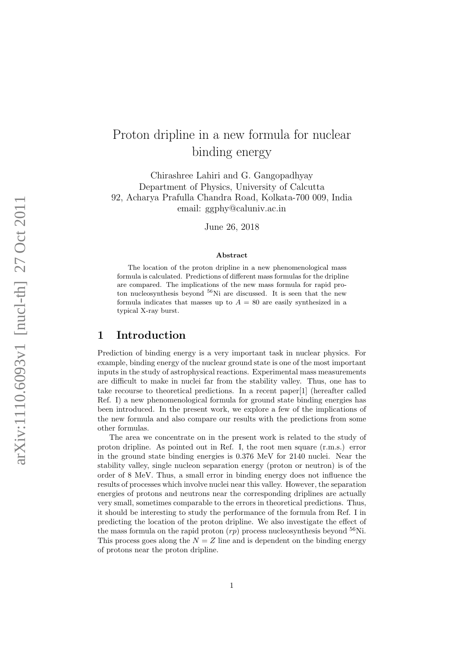# Proton dripline in a new formula for nuclear binding energy

Chirashree Lahiri and G. Gangopadhyay Department of Physics, University of Calcutta 92, Acharya Prafulla Chandra Road, Kolkata-700 009, India email: ggphy@caluniv.ac.in

June 26, 2018

#### Abstract

The location of the proton dripline in a new phenomenological mass formula is calculated. Predictions of different mass formulas for the dripline are compared. The implications of the new mass formula for rapid proton nucleosynthesis beyond <sup>56</sup>Ni are discussed. It is seen that the new formula indicates that masses up to  $A = 80$  are easily synthesized in a typical X-ray burst.

### 1 Introduction

Prediction of binding energy is a very important task in nuclear physics. For example, binding energy of the nuclear ground state is one of the most important inputs in the study of astrophysical reactions. Experimental mass measurements are difficult to make in nuclei far from the stability valley. Thus, one has to take recourse to theoretical predictions. In a recent paper[1] (hereafter called Ref. I) a new phenomenological formula for ground state binding energies has been introduced. In the present work, we explore a few of the implications of the new formula and also compare our results with the predictions from some other formulas.

The area we concentrate on in the present work is related to the study of proton dripline. As pointed out in Ref. I, the root men square (r.m.s.) error in the ground state binding energies is 0.376 MeV for 2140 nuclei. Near the stability valley, single nucleon separation energy (proton or neutron) is of the order of 8 MeV. Thus, a small error in binding energy does not influence the results of processes which involve nuclei near this valley. However, the separation energies of protons and neutrons near the corresponding driplines are actually very small, sometimes comparable to the errors in theoretical predictions. Thus, it should be interesting to study the performance of the formula from Ref. I in predicting the location of the proton dripline. We also investigate the effect of the mass formula on the rapid proton  $(rp)$  process nucleosynthesis beyond <sup>56</sup>Ni. This process goes along the  $N = Z$  line and is dependent on the binding energy of protons near the proton dripline.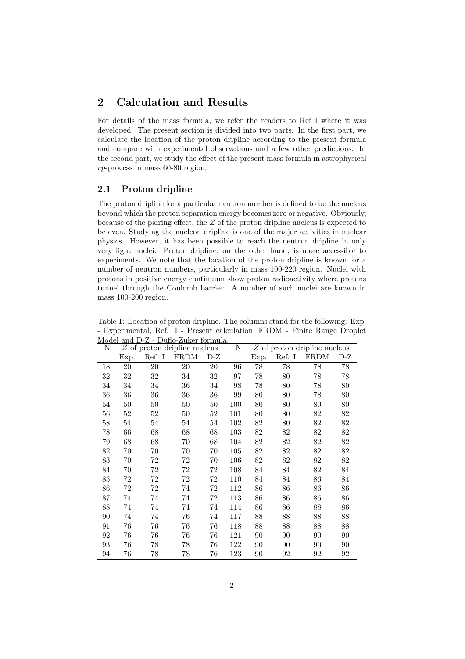### 2 Calculation and Results

For details of the mass formula, we refer the readers to Ref I where it was developed. The present section is divided into two parts. In the first part, we calculate the location of the proton dripline according to the present formula and compare with experimental observations and a few other predictions. In the second part, we study the effect of the present mass formula in astrophysical rp-process in mass 60-80 region.

### 2.1 Proton dripline

The proton dripline for a particular neutron number is defined to be the nucleus beyond which the proton separation energy becomes zero or negative. Obviously, because of the pairing effect, the Z of the proton dripline nucleus is expected to be even. Studying the nucleon dripline is one of the major activities in nuclear physics. However, it has been possible to reach the neutron dripline in only very light nuclei. Proton dripline, on the other hand, is more accessible to experiments. We note that the location of the proton dripline is known for a number of neutron numbers, particularly in mass 100-220 region. Nuclei with protons in positive energy continuum show proton radioactivity where protons tunnel through the Coulomb barrier. A number of such nuclei are known in mass 100-200 region.

Table 1: Location of proton dripline. The columns stand for the following: Exp. - Experimental, Ref. I - Present calculation, FRDM - Finite Range Droplet Model and D-Z - Duflo-Zuker formula.

| nouer<br>Ν | Dano-Danoi iormaia.<br>Z of proton dripline nucleus |        |             |        | Ν   | $Z$ of proton dripline nucleus |        |             |        |
|------------|-----------------------------------------------------|--------|-------------|--------|-----|--------------------------------|--------|-------------|--------|
|            | Exp.                                                | Ref. I | <b>FRDM</b> | $D-Z$  |     | Exp.                           | Ref. I | <b>FRDM</b> | $D-Z$  |
| 18         | 20                                                  | 20     | 20          | 20     | 96  | 78                             | 78     | 78          | 78     |
| 32         | 32                                                  | $32\,$ | 34          | 32     | 97  | 78                             | 80     | 78          | 78     |
| 34         | 34                                                  | 34     | 36          | 34     | 98  | 78                             | 80     | 78          | 80     |
| 36         | 36                                                  | 36     | 36          | 36     | 99  | 80                             | 80     | 78          | 80     |
| 54         | $50\,$                                              | 50     | 50          | $50\,$ | 100 | 80                             | 80     | 80          | 80     |
| 56         | $52\,$                                              | 52     | $50\,$      | $52\,$ | 101 | 80                             | 80     | 82          | 82     |
| 58         | $54\,$                                              | 54     | 54          | 54     | 102 | 82                             | 80     | $82\,$      | $82\,$ |
| 78         | 66                                                  | 68     | 68          | 68     | 103 | 82                             | 82     | 82          | 82     |
| 79         | 68                                                  | 68     | 70          | 68     | 104 | 82                             | 82     | 82          | 82     |
| 82         | 70                                                  | 70     | 70          | 70     | 105 | 82                             | 82     | 82          | 82     |
| 83         | 70                                                  | 72     | 72          | 70     | 106 | 82                             | 82     | 82          | 82     |
| 84         | 70                                                  | 72     | 72          | 72     | 108 | 84                             | 84     | 82          | 84     |
| 85         | 72                                                  | 72     | 72          | 72     | 110 | 84                             | 84     | 86          | 84     |
| 86         | $72 \,$                                             | 72     | 74          | $72\,$ | 112 | 86                             | 86     | 86          | 86     |
| 87         | 74                                                  | 74     | 74          | 72     | 113 | 86                             | 86     | 86          | 86     |
| 88         | 74                                                  | 74     | 74          | 74     | 114 | 86                             | 86     | 88          | 86     |
| 90         | 74                                                  | 74     | 76          | 74     | 117 | 88                             | 88     | 88          | 88     |
| 91         | 76                                                  | 76     | 76          | 76     | 118 | 88                             | 88     | 88          | 88     |
| 92         | 76                                                  | 76     | 76          | 76     | 121 | 90                             | 90     | 90          | 90     |
| 93         | 76                                                  | 78     | 78          | 76     | 122 | 90                             | 90     | 90          | 90     |
| 94         | 76                                                  | 78     | 78          | 76     | 123 | 90                             | 92     | 92          | 92     |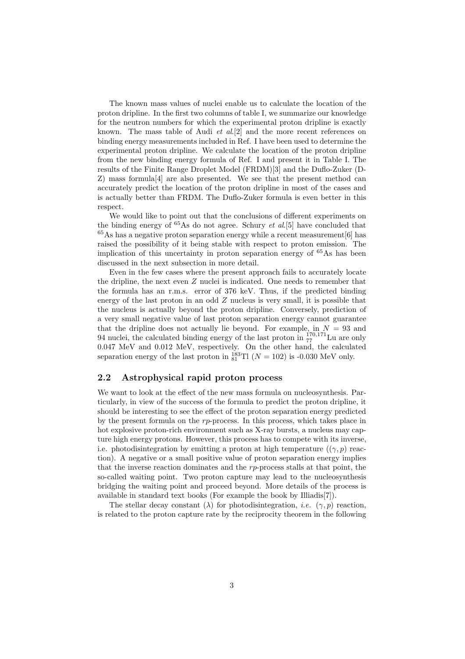The known mass values of nuclei enable us to calculate the location of the proton dripline. In the first two columns of table I, we summarize our knowledge for the neutron numbers for which the experimental proton dripline is exactly known. The mass table of Audi *et al*.[2] and the more recent references on binding energy measurements included in Ref. I have been used to determine the experimental proton dripline. We calculate the location of the proton dripline from the new binding energy formula of Ref. I and present it in Table I. The results of the Finite Range Droplet Model (FRDM)[3] and the Duflo-Zuker (D-Z) mass formula[4] are also presented. We see that the present method can accurately predict the location of the proton dripline in most of the cases and is actually better than FRDM. The Duflo-Zuker formula is even better in this respect.

We would like to point out that the conclusions of different experiments on the binding energy of <sup>65</sup>As do not agree. Schury *et al*.[5] have concluded that  $65\text{As}$  has a negative proton separation energy while a recent measurement [6] has raised the possibility of it being stable with respect to proton emission. The implication of this uncertainty in proton separation energy of <sup>65</sup>As has been discussed in the next subsection in more detail.

Even in the few cases where the present approach fails to accurately locate the dripline, the next even Z nuclei is indicated. One needs to remember that the formula has an r.m.s. error of 376 keV. Thus, if the predicted binding energy of the last proton in an odd  $Z$  nucleus is very small, it is possible that the nucleus is actually beyond the proton dripline. Conversely, prediction of a very small negative value of last proton separation energy cannot guarantee that the dripline does not actually lie beyond. For example, in  $N = 93$  and 94 nuclei, the calculated binding energy of the last proton in  $_{77}^{170,171}$ Lu are only 0.047 MeV and 0.012 MeV, respectively. On the other hand, the calculated separation energy of the last proton in  $_{81}^{183}$ Tl ( $N = 102$ ) is -0.030 MeV only.

#### 2.2 Astrophysical rapid proton process

We want to look at the effect of the new mass formula on nucleosynthesis. Particularly, in view of the success of the formula to predict the proton dripline, it should be interesting to see the effect of the proton separation energy predicted by the present formula on the rp-process. In this process, which takes place in hot explosive proton-rich environment such as X-ray bursts, a nucleus may capture high energy protons. However, this process has to compete with its inverse, i.e. photodisintegration by emitting a proton at high temperature  $((\gamma, p)$  reaction). A negative or a small positive value of proton separation energy implies that the inverse reaction dominates and the rp-process stalls at that point, the so-called waiting point. Two proton capture may lead to the nucleosynthesis bridging the waiting point and proceed beyond. More details of the process is available in standard text books (For example the book by Illiadis[7]).

The stellar decay constant ( $\lambda$ ) for photodisintegration, *i.e.* ( $\gamma$ ,  $p$ ) reaction, is related to the proton capture rate by the reciprocity theorem in the following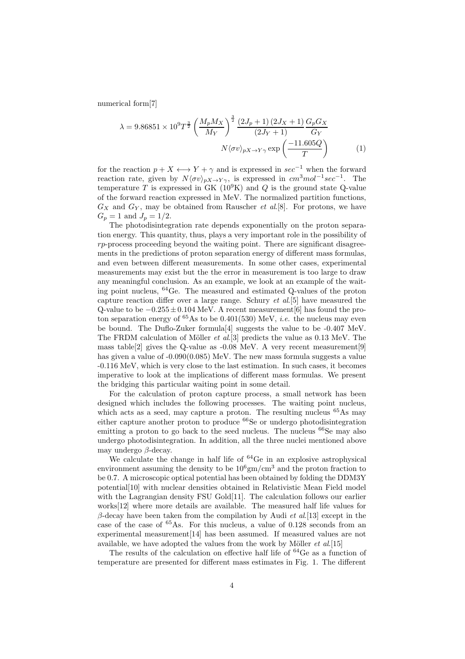numerical form[7]

$$
\lambda = 9.86851 \times 10^9 T^{\frac{3}{2}} \left(\frac{M_p M_X}{M_Y}\right)^{\frac{3}{2}} \frac{\left(2J_p + 1\right)\left(2J_X + 1\right)}{\left(2J_Y + 1\right)} \frac{G_p G_X}{G_Y}
$$

$$
N \langle \sigma v \rangle_{pX \to Y\gamma} \exp\left(\frac{-11.605Q}{T}\right) \tag{1}
$$

for the reaction  $p + X \leftrightarrow Y + \gamma$  and is expressed in  $\sec^{-1}$  when the forward reaction rate, given by  $N\langle \sigma v \rangle_{pX\to Y\gamma}$ , is expressed in  $cm^3mol^{-1}sec^{-1}$ . The temperature T is expressed in  $GK (10^9 K)$  and Q is the ground state Q-value of the forward reaction expressed in MeV. The normalized partition functions,  $G_X$  and  $G_Y$ , may be obtained from Rauscher *et al.*[8]. For protons, we have  $G_p = 1$  and  $J_p = 1/2$ .

The photodisintegration rate depends exponentially on the proton separation energy. This quantity, thus, plays a very important role in the possibility of  $rp$ -process proceeding beyond the waiting point. There are significant disagreements in the predictions of proton separation energy of different mass formulas, and even between different measurements. In some other cases, experimental measurements may exist but the the error in measurement is too large to draw any meaningful conclusion. As an example, we look at an example of the waiting point nucleus, <sup>64</sup>Ge. The measured and estimated Q-values of the proton capture reaction differ over a large range. Schury *et al*.[5] have measured the Q-value to be  $-0.255 \pm 0.104$  MeV. A recent measurement [6] has found the proton separation energy of  ${}^{65}$ As to be 0.401(530) MeV, *i.e.* the nucleus may even be bound. The Duflo-Zuker formula[4] suggests the value to be -0.407 MeV. The FRDM calculation of Möller *et al.*[3] predicts the value as 0.13 MeV. The mass table<sup>[2]</sup> gives the Q-value as  $-0.08$  MeV. A very recent measurement<sup>[9]</sup> has given a value of -0.090(0.085) MeV. The new mass formula suggests a value -0.116 MeV, which is very close to the last estimation. In such cases, it becomes imperative to look at the implications of different mass formulas. We present the bridging this particular waiting point in some detail.

For the calculation of proton capture process, a small network has been designed which includes the following processes. The waiting point nucleus, which acts as a seed, may capture a proton. The resulting nucleus  ${}^{65}$ As may either capture another proton to produce <sup>66</sup>Se or undergo photodisintegration emitting a proton to go back to the seed nucleus. The nucleus  $66$ Se may also undergo photodisintegration. In addition, all the three nuclei mentioned above may undergo  $\beta$ -decay.

We calculate the change in half life of  ${}^{64}$ Ge in an explosive astrophysical environment assuming the density to be  $10^6$ gm/cm<sup>3</sup> and the proton fraction to be 0.7. A microscopic optical potential has been obtained by folding the DDM3Y potential[10] with nuclear densities obtained in Relativistic Mean Field model with the Lagrangian density FSU Gold<sup>[11]</sup>. The calculation follows our earlier works[12] where more details are available. The measured half life values for β-decay have been taken from the compilation by Audi *et al*.[13] except in the case of the case of  ${}^{65}$ As. For this nucleus, a value of 0.128 seconds from an experimental measurement[14] has been assumed. If measured values are not available, we have adopted the values from the work by Möller *et al.*[15]

The results of the calculation on effective half life of  ${}^{64}$ Ge as a function of temperature are presented for different mass estimates in Fig. 1. The different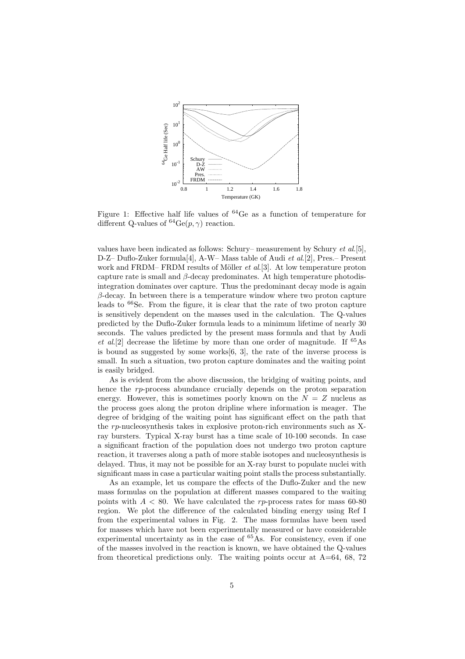

Figure 1: Effective half life values of <sup>64</sup>Ge as a function of temperature for different Q-values of  ${}^{64}Ge(p, \gamma)$  reaction.

values have been indicated as follows: Schury– measurement by Schury *et al*.[5], D-Z– Duflo-Zuker formula[4], A-W– Mass table of Audi *et al*.[2], Pres.– Present work and FRDM– FRDM results of Möller *et al.*[3]. At low temperature proton capture rate is small and  $\beta$ -decay predominates. At high temperature photodisintegration dominates over capture. Thus the predominant decay mode is again  $\beta$ -decay. In between there is a temperature window where two proton capture leads to  ${}^{66}$ Se. From the figure, it is clear that the rate of two proton capture is sensitively dependent on the masses used in the calculation. The Q-values predicted by the Duflo-Zuker formula leads to a minimum lifetime of nearly 30 seconds. The values predicted by the present mass formula and that by Audi *et al*.[2] decrease the lifetime by more than one order of magnitude. If <sup>65</sup>As is bound as suggested by some works $[6, 3]$ , the rate of the inverse process is small. In such a situation, two proton capture dominates and the waiting point is easily bridged.

As is evident from the above discussion, the bridging of waiting points, and hence the rp-process abundance crucially depends on the proton separation energy. However, this is sometimes poorly known on the  $N = Z$  nucleus as the process goes along the proton dripline where information is meager. The degree of bridging of the waiting point has significant effect on the path that the rp-nucleosynthesis takes in explosive proton-rich environments such as Xray bursters. Typical X-ray burst has a time scale of 10-100 seconds. In case a significant fraction of the population does not undergo two proton capture reaction, it traverses along a path of more stable isotopes and nucleosynthesis is delayed. Thus, it may not be possible for an X-ray burst to populate nuclei with significant mass in case a particular waiting point stalls the process substantially.

As an example, let us compare the effects of the Duflo-Zuker and the new mass formulas on the population at different masses compared to the waiting points with  $A < 80$ . We have calculated the rp-process rates for mass 60-80 region. We plot the difference of the calculated binding energy using Ref I from the experimental values in Fig. 2. The mass formulas have been used for masses which have not been experimentally measured or have considerable experimental uncertainty as in the case of  $65\,\text{As}$ . For consistency, even if one of the masses involved in the reaction is known, we have obtained the Q-values from theoretical predictions only. The waiting points occur at  $A=64, 68, 72$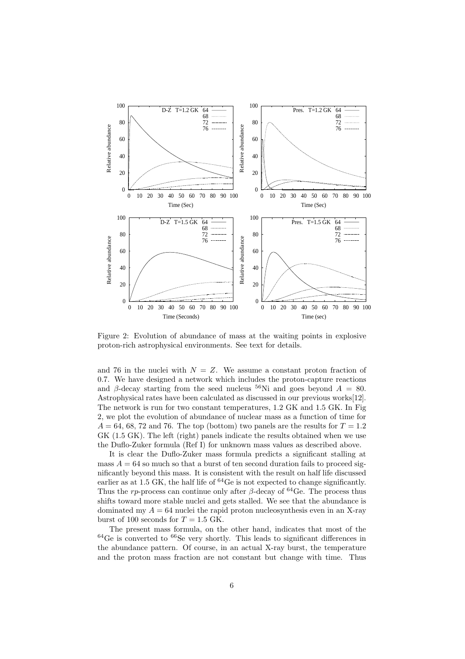

Figure 2: Evolution of abundance of mass at the waiting points in explosive proton-rich astrophysical environments. See text for details.

and 76 in the nuclei with  $N = Z$ . We assume a constant proton fraction of 0.7. We have designed a network which includes the proton-capture reactions and β-decay starting from the seed nucleus <sup>56</sup>Ni and goes beyond  $A = 80$ . Astrophysical rates have been calculated as discussed in our previous works[12]. The network is run for two constant temperatures, 1.2 GK and 1.5 GK. In Fig 2, we plot the evolution of abundance of nuclear mass as a function of time for  $A = 64, 68, 72, \text{ and } 76.$  The top (bottom) two panels are the results for  $T = 1.2$ GK (1.5 GK). The left (right) panels indicate the results obtained when we use the Duflo-Zuker formula (Ref I) for unknown mass values as described above.

It is clear the Duflo-Zuker mass formula predicts a significant stalling at mass  $A = 64$  so much so that a burst of ten second duration fails to proceed significantly beyond this mass. It is consistent with the result on half life discussed earlier as at 1.5 GK, the half life of  ${}^{64}$ Ge is not expected to change significantly. Thus the rp-process can continue only after  $\beta$ -decay of <sup>64</sup>Ge. The process thus shifts toward more stable nuclei and gets stalled. We see that the abundance is dominated my  $A = 64$  nuclei the rapid proton nucleosynthesis even in an X-ray burst of 100 seconds for  $T = 1.5$  GK.

The present mass formula, on the other hand, indicates that most of the  $64$ Ge is converted to  $66$ Se very shortly. This leads to significant differences in the abundance pattern. Of course, in an actual X-ray burst, the temperature and the proton mass fraction are not constant but change with time. Thus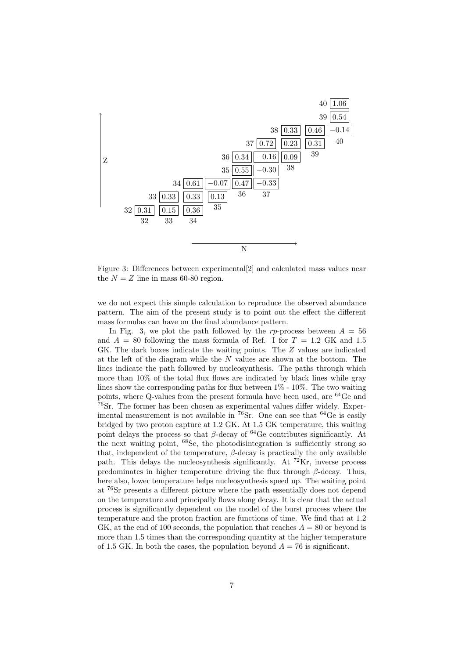

Figure 3: Differences between experimental[2] and calculated mass values near the  $N = Z$  line in mass 60-80 region.

we do not expect this simple calculation to reproduce the observed abundance pattern. The aim of the present study is to point out the effect the different mass formulas can have on the final abundance pattern.

In Fig. 3, we plot the path followed by the rp-process between  $A = 56$ and  $A = 80$  following the mass formula of Ref. I for  $T = 1.2$  GK and 1.5 GK. The dark boxes indicate the waiting points. The Z values are indicated at the left of the diagram while the N values are shown at the bottom. The lines indicate the path followed by nucleosynthesis. The paths through which more than 10% of the total flux flows are indicated by black lines while gray lines show the corresponding paths for flux between  $1\%$  -  $10\%$ . The two waiting points, where Q-values from the present formula have been used, are  $^{64}$ Ge and <sup>76</sup>Sr. The former has been chosen as experimental values differ widely. Experimental measurement is not available in  ${}^{76}\text{Sr}$ . One can see that  ${}^{64}\text{Ge}$  is easily bridged by two proton capture at 1.2 GK. At 1.5 GK temperature, this waiting point delays the process so that  $\beta$ -decay of <sup>64</sup>Ge contributes significantly. At the next waiting point, <sup>68</sup>Se, the photodisintegration is sufficiently strong so that, independent of the temperature,  $\beta$ -decay is practically the only available path. This delays the nucleosynthesis significantly. At  $^{72}$ Kr, inverse process predominates in higher temperature driving the flux through  $\beta$ -decay. Thus, here also, lower temperature helps nucleosynthesis speed up. The waiting point at <sup>76</sup>Sr presents a different picture where the path essentially does not depend on the temperature and principally flows along decay. It is clear that the actual process is significantly dependent on the model of the burst process where the temperature and the proton fraction are functions of time. We find that at 1.2 GK, at the end of 100 seconds, the population that reaches  $A = 80$  or beyond is more than 1.5 times than the corresponding quantity at the higher temperature of 1.5 GK. In both the cases, the population beyond  $A = 76$  is significant.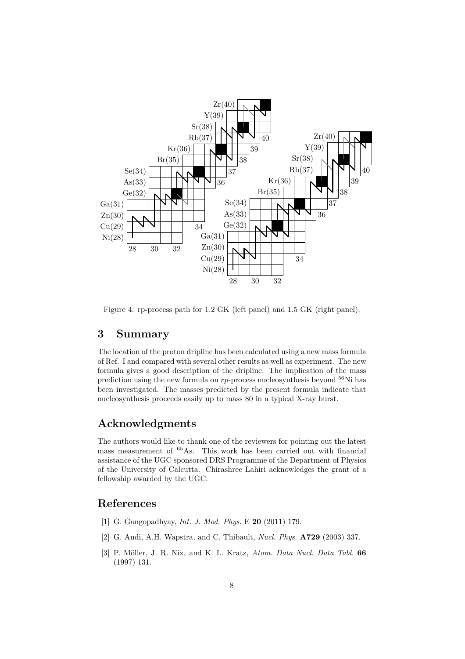

Figure 4: rp-process path for 1.2 GK (left panel) and 1.5 GK (right panel).

### 3 Summary

The location of the proton dripline has been calculated using a new mass formula of Ref. I and compared with several other results as well as experiment. The new formula gives a good description of the dripline. The implication of the mass prediction using the new formula on  $rp$ -process nucleosynthesis beyond  $^{56}$ Ni has been investigated. The masses predicted by the present formula indicate that nucleosynthesis proceeds easily up to mass 80 in a typical X-ray burst.

## Acknowledgments

The authors would like to thank one of the reviewers for pointing out the latest mass measurement of <sup>65</sup>As. This work has been carried out with financial assistance of the UGC sponsored DRS Programme of the Department of Physics of the University of Calcutta. Chirashree Lahiri acknowledges the grant of a fellowship awarded by the UGC.

### References

- [1] G. Gangopadhyay, *Int. J. Mod. Phys.* E 20 (2011) 179.
- [2] G. Audi, A.H. Wapstra, and C. Thibault, *Nucl. Phys.* A729 (2003) 337.
- [3] P. Möller, J. R. Nix, and K. L. Kratz, *Atom. Data Nucl. Data Tabl.* 66 (1997) 131.